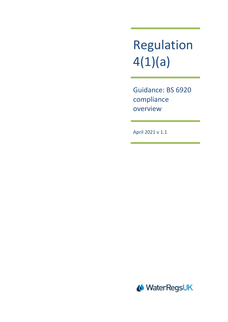Regulation 4(1)(a)

Guidance: BS 6920 compliance overview

April 2021 v 1.1

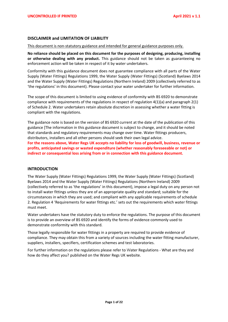## **DISCLAIMER and LIMITATION OF LIABILITY**

#### This document is non-statutory guidance and intended for general guidance purposes only.

**No reliance should be placed on this document for the purposes of designing, producing, installing or otherwise dealing with any product.** This guidance should not be taken as guaranteeing no enforcement action will be taken in respect of it by water undertakers.

Conformity with this guidance document does not guarantee compliance with all parts of the Water Supply (Water Fittings) Regulations 1999, the Water Supply (Water Fittings) (Scotland) Byelaws 2014 and the Water Supply (Water Fittings) Regulations (Northern Ireland) 2009 (collectively referred to as 'the regulations' in this document). Please contact your water undertaker for further information.

The scope of this document is limited to using evidence of conformity with BS 6920 to demonstrate compliance with requirements of the regulations in respect of regulation  $4(1)(a)$  and paragraph  $2(1)$ of Schedule 2. Water undertakers retain absolute discretion in assessing whether a water fitting is compliant with the regulations.

The guidance note is based on the version of BS 6920 current at the date of the publication of this guidance [The information in this guidance document is subject to change, and it should be noted that standards and regulatory requirements may change over time. Water fittings producers, distributors, installers and all other persons should seek their own legal advice. **For the reasons above, Water Regs UK accepts no liability for loss of goodwill, business, revenue or profits, anticipated savings or wasted expenditure (whether reasonably foreseeable or not) or indirect or consequential loss arising from or in connection with this guidance document.** 

## **INTRODUCTION**

The Water Supply (Water Fittings) Regulations 1999, the Water Supply (Water Fittings) (Scotland) Byelaws 2014 and the Water Supply (Water Fittings) Regulations (Northern Ireland) 2009 (collectively referred to as 'the regulations' in this document), impose a legal duty on any person not to install water fittings unless they are of an appropriate quality and standard; suitable for the circumstances in which they are used; and compliant with any applicable requirements of schedule 2. Regulation 4 'Requirements for water fittings etc.' sets out the requirements which water fittings must meet.

Water undertakers have the statutory duty to enforce the regulations. The purpose of this document is to provide an overview of BS 6920 and identify the forms of evidence commonly used to demonstrate conformity with this standard.

Those legally responsible for water fittings in a property are required to provide evidence of compliance. They may obtain this from a variety of sources including the water fitting manufacturer, suppliers, installers, specifiers, certification schemes and test laboratories.

For further information on the regulations please refer to Water Regulations - What are they and how do they affect you? published on the Water Regs UK website.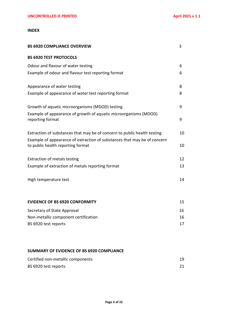## **INDEX**

| <b>BS 6920 COMPLIANCE OVERVIEW</b>                                                                            | 3  |
|---------------------------------------------------------------------------------------------------------------|----|
| <b>BS 6920 TEST PROTOCOLS</b>                                                                                 |    |
| Odour and flavour of water testing                                                                            | 6  |
| Example of odour and flavour test reporting format                                                            | 6  |
| Appearance of water testing                                                                                   | 8  |
| Example of appearance of water test reporting format                                                          | 8  |
| Growth of aquatic microorganisms (MDOD) testing                                                               | 9  |
| Example of appearance of growth of aquatic microorganisms (MDOD)<br>reporting format                          | 9  |
| Extraction of substances that may be of concern to public health testing                                      | 10 |
| Example of appearance of extraction of substances that may be of concern<br>to public health reporting format | 10 |
| <b>Extraction of metals testing</b>                                                                           | 12 |
| Example of extraction of metals reporting format                                                              | 13 |
| High temperature test                                                                                         | 14 |
| <b>EVIDENCE OF BS 6920 CONFORMITY</b>                                                                         | 15 |
| Secretary of State Approval                                                                                   | 16 |
| Non-metallic component certification                                                                          | 16 |
| BS 6920 test reports                                                                                          | 17 |
|                                                                                                               |    |

# **SUMMARY OF EVIDENCE OF BS 6920 COMPLIANCE**

| Certified non-metallic components |  |
|-----------------------------------|--|
| BS 6920 test reports              |  |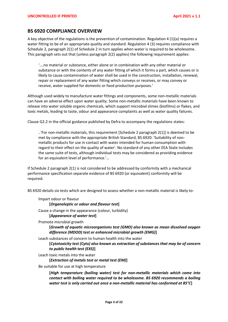# **BS 6920 COMPLIANCE OVERVIEW**

A key objective of the regulations is the prevention of contamination. Regulation 4 (1)(a) requires a water fitting to be of an appropriate quality and standard. Regulation 4 (3) requires compliance with Schedule 2, paragraph 2(1) of Schedule 2 in turn applies when water is required to be wholesome. This paragraph sets out that (unless paragraph 2(2) applies) the following requirement applies:

'….no material or substance, either alone or in combination with any other material or substance or with the contents of any water fitting of which it forms a part, which causes or is likely to cause contamination of water shall be used in the construction, installation, renewal, repair or replacement of any water fitting which conveys or receives, or may convey or receive, water supplied for domestic or food production purposes.'

Although used widely to manufacture water fittings and components, some non-metallic materials can have an adverse effect upon water quality. Some non-metallic materials have been known to release into water soluble organic chemicals, which support microbial slimes (biofilms) or flakes, and toxic metals, leading to taste, odour and appearance complaints as well as water quality failures.

Clause G2.2 in the official guidance published by Defra to accompany the regulations states:

..'For non-metallic materials, this requirement [Schedule 2 paragraph 2(1)] is deemed to be met by compliance with the appropriate British Standard, BS 6920: 'Suitability of nonmetallic products for use in contact with water intended for human consumption with regard to their effect on the quality of water'. No standard of any other EEA State includes the same suite of tests, although individual tests may be considered as providing evidence for an equivalent level of performance.'…

If Schedule 2 paragraph 2(1) is not considered to be addressed by conformity with a mechanical performance specification separate evidence of BS 6920 (or equivalent) conformity will be required.

BS 6920 details six tests which are designed to assess whether a non-metallic material is likely to-

Impart odour or flavour

**[***Organoleptic or odour and flavour test***]**

Cause a change in the appearance (colour, turbidity) **[***Appearance of water test***]**

Promote microbial growth

**[***Growth of aquatic microorganisms test (GMO) also known as mean dissolved oxygen difference (MDOD) test or enhanced microbial growth (EMG)***]**

Leach substances of concern to human health into the water

**[***Cytotoxicity test (Cyto) also known as extraction of substances that may be of concern to public health test (EXS)***]** 

Leach toxic metals into the water

**[***Extraction of metals test or metal test (EM)***]**

Be suitable for use at high temperature

**[***High temperature (boiling water) test for non-metallic materials which come into contact with boiling water required to be wholesome. BS 6920 recommends a boiling water test is only carried out once a non-metallic material has conformed at 85°C***]**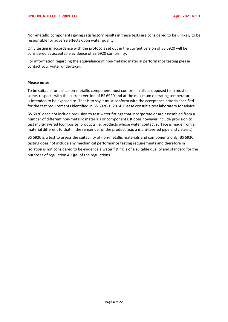Non-metallic components giving satisfactory results in these tests are considered to be unlikely to be responsible for adverse effects upon water quality.

Only testing in accordance with the protocols set out in the current version of BS 6920 will be considered as acceptable evidence of BS 6920 conformity.

For information regarding the equivalence of non-metallic material performance testing please contact your water undertaker.

#### **Please note**:

To be suitable for use a non-metallic component must conform in all, as opposed to in most or some, respects with the current version of BS 6920 and at the maximum operating temperature it is intended to be exposed to. That is to say it must conform with the acceptance criteria specified for the test requirements identified in BS 6920-1: 2014. Please consult a test laboratory for advice.

BS 6920 does not include provision to test water fittings that incorporate or are assembled from a number of different non-metallic materials or components. It does however include provision to test multi-layered (composite) products i.e. products whose water contact surface is made from a material different to that in the remainder of the product (e.g. a multi-layered pipe and cisterns).

BS 6920 is a test to assess the suitability of non-metallic materials and components only. BS 6920 testing does not include any mechanical performance testing requirements and therefore in isolation is not considered to be evidence a water fitting is of a suitable quality and standard for the purposes of regulation 4(1)(a) of the regulations.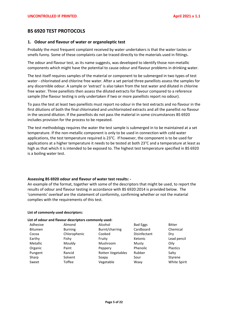# **BS 6920 TEST PROTOCOLS**

## **1. Odour and flavour of water or organoleptic test**

Probably the most frequent complaint received by water undertakers is that the water tastes or smells funny. Some of these complaints can be traced directly to the materials used in fittings.

The odour and flavour test, as its name suggests, was developed to identify those non-metallic components which might have the potential to cause odour and flavour problems in drinking water.

The test itself requires samples of the material or component to be submerged in two types of test water - chlorinated and chlorine free water. After a set period three panellists assess the samples for any discernible odour. A sample or 'extract' is also taken from the test water and diluted in chlorine free water. Three panellists then assess the diluted extracts for flavour compared to a reference sample (the flavour testing is only undertaken if two or more panellists report no odour).

To pass the test at least two panellists must report no odour in the test extracts and no flavour in the first dilutions of both the final chlorinated and unchlorinated extracts and all the panellist no flavour in the second dilution. If the panellists do not pass the material in some circumstances BS 6920 includes provision for the process to be repeated.

The test methodology requires the water the test sample is submerged in to be maintained at a set temperature. If the non-metallic component is only to be used in connection with cold water applications, the test temperature required is 23°C. If however, the component is to be used for applications at a higher temperature it needs to be tested at both 23°C and a temperature at least as high as that which it is intended to be exposed to. The highest test temperature specified in BS 6920 is a boiling water test.

## **Assessing BS 6920 odour and flavour of water test results: -**

An example of the format, together with some of the descriptors that might be used, to report the results of odour and flavour testing in accordance with BS 6920:2014 is provided below. The 'comments' overleaf are the statement of conformity, confirming whether or not the material complies with the requirements of this test.

#### **List of commonly used descriptors:**

# **List of odour and flavour descriptors commonly used:**

| Adhesive       | Almond         | Alcohol                  | <b>Bad Eggs</b> | <b>Bitter</b>       |
|----------------|----------------|--------------------------|-----------------|---------------------|
| <b>Bitumen</b> | <b>Burning</b> | Burnt/charring           | Cardboard       | Chemical            |
| Cocoa          | Chlorophenic   | Cooked                   | Disinfectant    | Dry                 |
| Earthy         | Fishy          | Fruity                   | Ketonic         | Lead pencil         |
| Metallic       | Mouldy         | Mushroom                 | Musty           | Oilv                |
| Organic        | Paint          | Peppery                  | Phenolic        | <b>Plastics</b>     |
| Pungent        | Rancid         | <b>Rotten Vegetables</b> | Rubber          | Salty               |
| Sharp          | Solvent        | Soapy                    | Sour            | Styrene             |
| Sweet          | Toffee         | Vegetable                | Waxy            | <b>White Spirit</b> |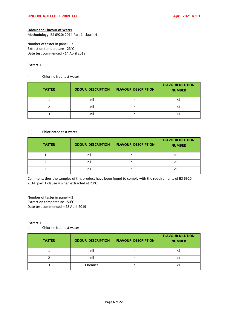## **Odour and Flavour of Water**

Methodology: BS 6920: 2014 Part 1: clause 4

Number of taster in panel – 3 Extraction temperature - 23°C Date test commenced - 14 April 2019

## Extract 1

#### (i) Chlorine free test water

| <b>TASTER</b> | <b>ODOUR DESCRIPTION</b> | <b>FLAVOUR DESCRIPTION</b> | <b>FLAVOUR DILUTION</b><br><b>NUMBER</b> |
|---------------|--------------------------|----------------------------|------------------------------------------|
|               | nil                      | nil                        |                                          |
|               | nil                      | nil                        |                                          |
|               | nil                      | nil                        |                                          |

#### (ii) Chlorinated test water

| <b>TASTER</b> | <b>ODOUR DESCRIPTION</b> | <b>FLAVOUR DESCRIPTION</b> | <b>FLAVOUR DILUTION</b><br><b>NUMBER</b> |
|---------------|--------------------------|----------------------------|------------------------------------------|
|               | nil                      | nil                        |                                          |
|               | nil                      | ni.                        |                                          |
|               | nil                      | nıl                        |                                          |

Comment: thus the samples of this product have been found to comply with the requirements of BS 6920: 2014: part 1 clause 4 when extracted at 23°C

Number of taster in panel – 3 Extraction temperature - 50°C Date test commenced – 28 April 2019

Extract 1

(i) Chlorine free test water

| <b>TASTER</b> | <b>ODOUR DESCRIPTION</b> | <b>FLAVOUR DESCRIPTION</b> | <b>FLAVOUR DILUTION</b><br><b>NUMBER</b> |
|---------------|--------------------------|----------------------------|------------------------------------------|
|               | nil                      | nil                        |                                          |
|               | nil                      | nil                        |                                          |
|               | Chemical                 | nil                        |                                          |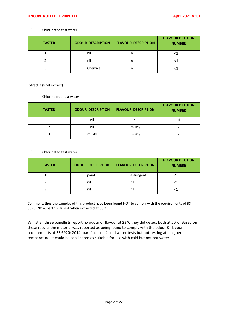## **UNCONTROLLED IF PRINTED April 2021 v 1.1**

#### (ii) Chlorinated test water

| <b>TASTER</b> | <b>ODOUR DESCRIPTION</b> | <b>FLAVOUR DESCRIPTION</b> | <b>FLAVOUR DILUTION</b><br><b>NUMBER</b> |
|---------------|--------------------------|----------------------------|------------------------------------------|
|               | nil                      | nil                        |                                          |
|               | nil                      | nil                        |                                          |
|               | Chemical                 | nil                        |                                          |

Extract 7 (final extract)

#### (i) Chlorine free test water

| <b>TASTER</b> | <b>ODOUR DESCRIPTION</b> | <b>FLAVOUR DESCRIPTION</b> | <b>FLAVOUR DILUTION</b><br><b>NUMBER</b> |
|---------------|--------------------------|----------------------------|------------------------------------------|
|               | nil                      | nil                        |                                          |
|               | nil                      | musty                      |                                          |
|               | musty                    | musty                      |                                          |

#### (ii) Chlorinated test water

| <b>TASTER</b> | <b>ODOUR DESCRIPTION</b> | <b>FLAVOUR DESCRIPTION</b> | <b>FLAVOUR DILUTION</b><br><b>NUMBER</b> |
|---------------|--------------------------|----------------------------|------------------------------------------|
|               | paint                    | astringent                 |                                          |
|               | nil                      | nil                        |                                          |
|               | nil                      | nil                        |                                          |

Comment: thus the samples of this product have been found NOT to comply with the requirements of BS 6920: 2014: part 1 clause 4 when extracted at 50°C

Whilst all three panellists report no odour or flavour at 23°C they did detect both at 50°C. Based on these results the material was reported as being found to comply with the odour & flavour requirements of BS 6920: 2014: part 1 clause 4 cold water tests but not testing at a higher temperature. It could be considered as suitable for use with cold but not hot water.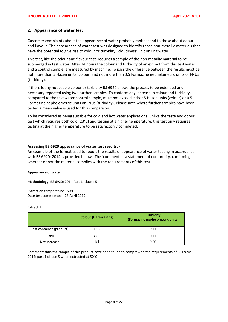## **2. Appearance of water test**

Customer complaints about the appearance of water probably rank second to those about odour and flavour. The appearance of water test was designed to identify those non-metallic materials that have the potential to give rise to colour or turbidity, 'cloudiness', in drinking water.

This test, like the odour and flavour test, requires a sample of the non-metallic material to be submerged in test water. After 24 hours the colour and turbidity of an extract from this test water, and a control sample, are measured by machine. To pass the difference between the results must be not more than 5 Hazen units (colour) and not more than 0.5 Formazine nephelometric units or FNUs (turbidity).

If there is any noticeable colour or turbidity BS 6920 allows the process to be extended and if necessary repeated using two further samples. To conform any increase in colour and turbidity, compared to the test water control sample, must not exceed either 5 Hazen units (colour) or 0.5 Formazine nephelometric units or FNUs (turbidity). Please note where further samples have been tested a mean value is used for this comparison.

To be considered as being suitable for cold and hot water applications, unlike the taste and odour test which requires both cold (23°C) and testing at a higher temperature, this test only requires testing at the higher temperature to be satisfactorily completed.

#### **Assessing BS 6920 appearance of water test results: -**

An example of the format used to report the results of appearance of water testing in accordance with BS 6920: 2014 is provided below. The 'comment' is a statement of conformity, confirming whether or not the material complies with the requirements of this test.

#### **Appearance of water**

Methodology: BS 6920: 2014 Part 1: clause 5

Extraction temperature - 50°C Date test commenced - 23 April 2019

## Extract 1

|                          | <b>Colour (Hazen Units)</b> | <b>Turbidity</b><br>(Formazine nephelometric units) |
|--------------------------|-----------------------------|-----------------------------------------------------|
| Test container (product) | 2.5                         | 0.14                                                |
| <b>Blank</b>             | 2.5                         | 0.11                                                |
| Net increase             | Nil                         | 0.03                                                |

Comment: thus the sample of this product have been found to comply with the requirements of BS 6920: 2014: part 1 clause 5 when extracted at 50°C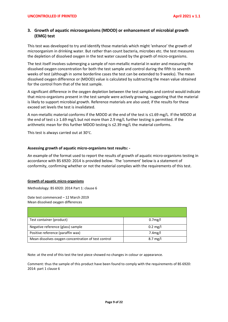# **3. Growth of aquatic microorganisms (MDOD) or enhancement of microbial growth (EMG) test**

This test was developed to try and identify those materials which might 'enhance' the growth of microorganism in drinking water. But rather than count bacteria, microbes etc. the test measures the depletion of dissolved oxygen in the test water caused by the growth of micro-organisms.

The test itself involves submerging a sample of non-metallic material in water and measuring the dissolved oxygen concentration for both the test sample and control during the fifth to seventh weeks of test (although in some borderline cases the test can be extended to 9 weeks). The mean dissolved oxygen difference or (MDOD) value is calculated by subtracting the mean value obtained for the control from that of the test sample.

A significant difference in the oxygen depletion between the test samples and control would indicate that micro-organisms present in the test sample were actively growing, suggesting that the material is likely to support microbial growth. Reference materials are also used; if the results for these exceed set levels the test is invalidated.

A non-metallic material conforms if the MDOD at the end of the test is ≤1.69 mg/L. If the MDOD at the end of test  $s \ge 1.69$  mg/L but not more than 2.9 mg/L further testing is permitted. If the arithmetic mean for this further MDOD testing is ≤2.39 mg/L the material conforms.

This test is always carried out at 30°C.

## **Assessing growth of aquatic micro-organisms test results: -**

An example of the format used to report the results of growth of aquatic micro-organisms testing in accordance with BS 6920: 2014 is provided below. The 'comment' below is a statement of conformity, confirming whether or not the material complies with the requirements of this test.

#### **Growth of aquatic micro-organisms**

Methodology: BS 6920: 2014 Part 1: clause 6

Date test commenced – 12 March 2019 Mean dissolved oxygen differences

| Test container (product)                            | 0.7 <sub>mg</sub> /l |
|-----------------------------------------------------|----------------------|
| Negative reference (glass) sample                   | $0.2 \text{ mg/l}$   |
| Positive reference (paraffin wax)                   | 7.4 <sub>mg</sub> /l |
| Mean dissolves oxygen concentration of test control | $8.7 \text{ mg/l}$   |

Note: at the end of this test the test piece showed no changes in colour or appearance.

Comment: thus the sample of this product have been found to comply with the requirements of BS 6920: 2014: part 1 clause 6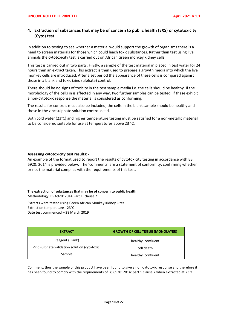# **4. Extraction of substances that may be of concern to public health (EXS) or cytotoxicity (Cyto) test**

In addition to testing to see whether a material would support the growth of organisms there is a need to screen materials for those which could leach toxic substances. Rather than test using live animals the cytotoxicity test is carried out on African Green monkey kidney cells.

This test is carried out in two parts. Firstly, a sample of the test material in placed in test water for 24 hours then an extract taken. This extract is then used to prepare a growth media into which the live monkey cells are introduced. After a set period the appearance of these cells is compared against those in a blank and toxic (zinc sulphate) control.

There should be no signs of toxicity in the test sample media i.e. the cells should be healthy. If the morphology of the cells in is affected in any way, two further samples can be tested. If these exhibit a non-cytotoxic response the material is considered as conforming.

The results for controls must also be included, the cells in the blank sample should be healthy and those in the zinc sulphate solution control dead.

Both cold water (23°C) and higher temperature testing must be satisfied for a non-metallic material to be considered suitable for use at temperatures above 23 °C.

## **Assessing cytotoxicity test results: -**

An example of the format used to report the results of cytotoxicity testing in accordance with BS 6920: 2014 is provided below. The 'comments' are a statement of conformity, confirming whether or not the material complies with the requirements of this test.

**The extraction of substances that may be of concern to public health**

Methodology: BS 6920: 2014 Part 1: clause 7

Extracts were tested using Green African Monkey Kidney Cites Extraction temperature - 23°C Date test commenced – 28 March 2019

| <b>EXTRACT</b>                                                   | <b>GROWTH OF CELL TISSUE (MONOLAYER)</b> |
|------------------------------------------------------------------|------------------------------------------|
| Reagent (Blank)<br>Zinc sulphate validation solution (cytotoxic) | healthy, confluent<br>cell death         |
| Sample                                                           | healthy, confluent                       |

Comment: thus the sample of this product have been found to give a non-cytotoxic response and therefore it has been found to comply with the requirements of BS 6920: 2014: part 1 clause 7 when extracted at 23°C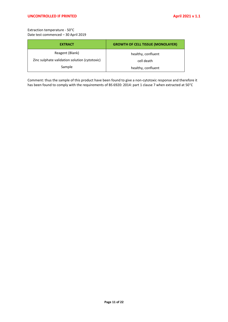Extraction temperature - 50°C Date test commenced – 30 April 2019

| <b>EXTRACT</b>                                | <b>GROWTH OF CELL TISSUE (MONOLAYER)</b> |  |
|-----------------------------------------------|------------------------------------------|--|
| Reagent (Blank)                               | healthy, confluent                       |  |
| Zinc sulphate validation solution (cytotoxic) | cell death                               |  |
| Sample                                        | healthy, confluent                       |  |

Comment: thus the sample of this product have been found to give a non-cytotoxic response and therefore it has been found to comply with the requirements of BS 6920: 2014: part 1 clause 7 when extracted at 50°C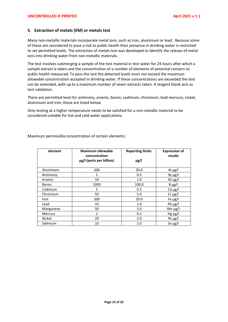## **5. Extraction of metals (EM) or metals test**

Many non-metallic materials incorporate metal ions, such as iron, aluminium or lead. Because some of these are considered to pose a risk to public health their presence in drinking water is restricted to set permitted levels. The extraction of metals test was developed to identify the release of metal ions into drinking water from non-metallic materials.

The test involves submerging a sample of the test material in test water for 24 hours after which a sample extract is taken and the concentration of a number of elements of potential concern to public health measured. To pass the test the detected levels must not exceed the maximum allowable concentration accepted in drinking water. If these concentrations are exceeded the test can be extended, with up to a maximum number of seven extracts taken. A reagent blank acts as test validation.

There are permitted level for antimony, arsenic, boron, cadmium, chromium, lead mercury, nickel, aluminium and iron, these are listed below.

Only testing at a higher temperature needs to be satisfied for a non-metallic material to be considered suitable for hot and cold water applications.

Maximum permissible concentration of certain elements:

| element   | <b>Maximum allowable</b><br>concentration | <b>Reporting limits</b> | <b>Expression of</b><br>results |  |
|-----------|-------------------------------------------|-------------------------|---------------------------------|--|
|           | µg/l (parts per billion)                  | $\mu$ g/l               |                                 |  |
| Aluminium | 200                                       | 20.0                    | Al $\mu$ g/l                    |  |
| Antimony  | 5                                         | 0.5                     | Sb $\mu$ g/l                    |  |
| Arsenic   | 10                                        | 1.0                     | AS $\mu$ g/l                    |  |
| Boron     | 1000                                      | 100.0                   | $B \mu g/l$                     |  |
| Cadmium   | 5                                         | 0.5                     | Cd $\mu$ g/l                    |  |
| Chromium  | 50                                        | 5.0                     | $Cr \mu g/l$                    |  |
| Iron      | 200                                       | 20.0                    | Fe $\mu$ g/l                    |  |
| Lead      | 10                                        | 1.0                     | Pb $\mu$ g/l                    |  |
| Manganese | 50                                        | 5.0                     | Mn $\mu$ g/l                    |  |
| Mercury   | $\mathbf{1}$                              | 0.1                     | $Hg \mu g/l$                    |  |
| Nickel    | 20                                        | 2.0                     | Ni $\mu$ g/l                    |  |
| Selenium  | 10                                        | 1.0                     | Se $\mu$ g/l                    |  |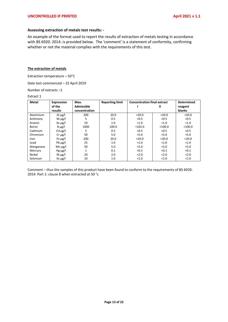#### **Assessing extraction of metals test results: -**

An example of the format used to report the results of extraction of metals testing in accordance with BS 6920: 2014: is provided below. The 'comment' is a statement of conformity, confirming whether or not the material complies with the requirements of this test.

#### **The extraction of metals**

Extraction temperature – 50°C

Date test commenced – 25 April 2019

Number of extracts –1

#### Extract 1

| <b>Metal</b> | Expression   | Max.          | <b>Reporting limit</b> | <b>Concentration final extract</b> |           | <b>Determined</b> |
|--------------|--------------|---------------|------------------------|------------------------------------|-----------|-------------------|
|              | of the       | Admissible    |                        |                                    | Ш         | reagent           |
|              | results      | concentration |                        |                                    |           | blanks            |
| Aluminium    | Al $\mu$ g/l | 200           | 20.0                   | < 20.0                             | < 20.0    | < 20.0            |
| Antimony     | $Sb \mu g/l$ | 5             | 0.5                    | < 0.5                              | < 0.5     | < 0.5             |
| Arsenic      | As $\mu$ g/l | 10            | 1.0                    | < 1.0                              | < 1.0     | < 1.0             |
| Boron        | $B \mu g/l$  | 1000          | 100.0                  | $102.0$                            | $<$ 100.0 | $<$ 100.0         |
| Cadmium      | Cd $\mu$ g/l | 5             | 0.5                    | < 0.5                              | < 0.5     | < 0.5             |
| Chromium     | $Cr \mu g/l$ | 50            | 5.0                    | < 5.0                              | 5.0       | < 5.0             |
| Iron         | Fe $\mu$ g/l | 200           | 20.0                   | < 20.0                             | < 20.0    | < 20.0            |
| Lead         | Pb $\mu$ g/l | 25            | 1.0                    | < 1.0                              | < 1.0     | < 1.0             |
| Manganese    | Mn $\mu$ g/l | 50            | 5.0                    | < 5.0                              | 5.0       | 5.0               |
| Mercury      | Hg $\mu$ g/l |               | 0.1                    | < 0.1                              | < 0.1     | < 0.1             |
| Nickel       | Ni $\mu$ g/l | 20            | 2.0                    | 2.0                                | 2.0       | 2.0               |
| Selenium     | Se $\mu$ g/l | 10            | 1.0                    | < 1.0                              | < 1.0     | < 1.0             |

Comment – thus the samples of this product have been found to conform to the requirements of BS 6920: 2014: Part 1: clause 8 when extracted at 50 °c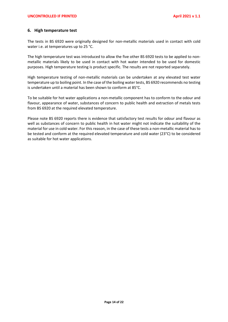## **6. High temperature test**

The tests in BS 6920 were originally designed for non-metallic materials used in contact with cold water i.e. at temperatures up to 25 °C.

The high temperature test was introduced to allow the five other BS 6920 tests to be applied to nonmetallic materials likely to be used in contact with hot water intended to be used for domestic purposes. High temperature testing is product specific. The results are not reported separately.

High temperature testing of non-metallic materials can be undertaken at any elevated test water temperature up to boiling point. In the case of the boiling water tests, BS 6920 recommends no testing is undertaken until a material has been shown to conform at 85°C.

To be suitable for hot water applications a non-metallic component has to conform to the odour and flavour, appearance of water, substances of concern to public health and extraction of metals tests from BS 6920 at the required elevated temperature.

Please note BS 6920 reports there is evidence that satisfactory test results for odour and flavour as well as substances of concern to public health in hot water might not indicate the suitability of the material for use in cold water. For this reason, in the case of these tests a non-metallic material has to be tested and conform at the required elevated temperature and cold water (23°C) to be considered as suitable for hot water applications.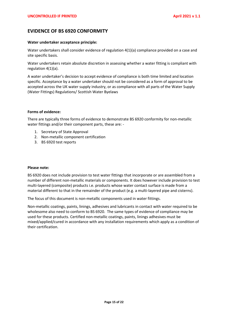# **EVIDENCE OF BS 6920 CONFORMITY**

#### **Water undertaker acceptance principle:**

Water undertakers shall consider evidence of regulation 4(1)(a) compliance provided on a case and site specific basis.

Water undertakers retain absolute discretion in assessing whether a water fitting is compliant with regulation 4(1)(a).

A water undertaker's decision to accept evidence of compliance is both time limited and location specific. Acceptance by a water undertaker should not be considered as a form of approval to be accepted across the UK water supply industry, or as compliance with all parts of the Water Supply (Water Fittings) Regulations/ Scottish Water Byelaws

#### **Forms of evidence:**

There are typically three forms of evidence to demonstrate BS 6920 conformity for non-metallic water fittings and/or their component parts, these are: -

- 1. Secretary of State Approval
- 2. Non-metallic component certification
- 3. BS 6920 test reports

#### **Please note:**

BS 6920 does not include provision to test water fittings that incorporate or are assembled from a number of different non-metallic materials or components. It does however include provision to test multi-layered (composite) products i.e. products whose water contact surface is made from a material different to that in the remainder of the product (e.g. a multi-layered pipe and cisterns).

The focus of this document is non-metallic components used in water fittings.

Non-metallic coatings, paints, linings, adhesives and lubricants in contact with water required to be wholesome also need to conform to BS 6920. The same types of evidence of compliance may be used for these products. Certified non-metallic coatings, paints, linings adhesives must be mixed/applied/cured in accordance with any installation requirements which apply as a condition of their certification.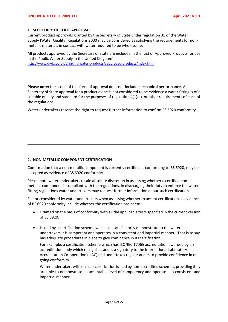## **1. SECRETARY OF STATE APPROVAL**

Current product approvals granted by the Secretary of State under regulation 31 of the Water Supply (Water Quality) Regulations 2000 may be considered as satisfying the requirements for nonmetallic materials in contact with water required to be wholesome.

All products approved by the Secretary of State are included in the 'List of Approved Products for use in the Public Water Supply in the United Kingdom'

[http://www.dwi.gov.uk/drinking-water-products//approved-products/index.htm](http://www.dwi.gov.uk/drinking-water-products/approved-products/index.htm)

**Please note:** the scope of this form of approval does not include mechanical performance. A Secretary of State approval for a product alone is not considered to be evidence a water fitting is of a suitable quality and standard for the purposes of regulation 4(1)(a), or other requirements of each of the regulations.

Water undertakers reserve the right to request further information to confirm BS 6920 conformity.

## **2. NON-METALLIC COMPONENT CERTIFICATION**

Confirmation that a non-metallic component is currently certified as conforming to BS 6920, may be accepted as evidence of BS 6920 conformity.

Please note water undertakers retain absolute discretion in assessing whether a certified nonmetallic component is compliant with the regulations. In discharging their duty to enforce the water fitting regulations water undertakers may request further information about such certification.

Factors considered by water undertakers when assessing whether to accept certification as evidence of BS 6920 conformity include whether the certification has been:

- Granted on the basis of conformity with all the applicable tests specified in the current version of BS 6920.
- Issued by a certification scheme which can satisfactorily demonstrate to the water undertakers it is competent and operates in a consistent and impartial manner. That is to say has adequate procedures in place to give confidence in its certification.

For example, a certification scheme which has ISO/IEC 17065 accreditation awarded by an accreditation body which recognises and is a signatory to the International Laboratory Accreditation Co-operation (ILAC) and undertakes regular audits to provide confidence in ongoing conformity.

Water undertakers will consider certification issued by non-accredited schemes, providing they are able to demonstrate an acceptable level of competency and operate in a consistent and impartial manner.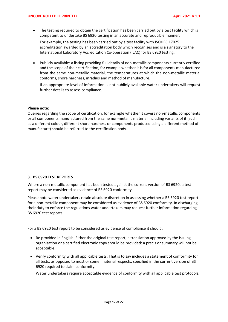• The testing required to obtain the certification has been carried out by a test facility which is competent to undertake BS 6920 testing in an accurate and reproducible manner.

For example, the testing has been carried out by a test facility with ISO/IEC 17025 accreditation awarded by an accreditation body which recognises and is a signatory to the International Laboratory Accreditation Co-operation (ILAC) for BS 6920 testing.

• Publicly available: a listing providing full details of non-metallic components currently certified and the scope of their certification, for example whether it is for all components manufactured from the same non-metallic material, the temperatures at which the non-metallic material conforms, shore hardness, inradius and method of manufacture.

If an appropriate level of information is not publicly available water undertakers will request further details to assess compliance.

#### **Please note:**

Queries regarding the scope of certification, for example whether it covers non-metallic components or all components manufactured from the same non-metallic material including variants of it (such as a different colour, different shore hardness or components produced using a different method of manufacture) should be referred to the certification body.

## **3. BS 6920 TEST REPORTS**

Where a non-metallic component has been tested against the current version of BS 6920, a test report may be considered as evidence of BS 6920 conformity.

Please note water undertakers retain absolute discretion in assessing whether a BS 6920 test report for a non-metallic component may be considered as evidence of BS 6920 conformity. In discharging their duty to enforce the regulations water undertakers may request further information regarding BS 6920 test reports.

For a BS 6920 test report to be considered as evidence of compliance it should:

- Be provided in English. Either the original test report, a translation approved by the issuing organisation or a certified electronic copy should be provided: a précis or summary will not be acceptable.
- Verify conformity with all applicable tests. That is to say includes a statement of conformity for all tests, as opposed to most or some, material respects, specified in the current version of BS 6920 required to claim conformity.

Water undertakers require acceptable evidence of conformity with all applicable test protocols.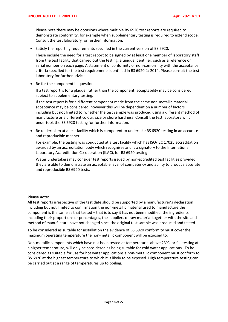Please note there may be occasions where multiple BS 6920 test reports are required to demonstrate conformity, for example when supplementary testing is required to extend scope. Consult the test laboratory for further information.

• Satisfy the reporting requirements specified in the current version of BS 6920.

These include the need for a test report to be signed by at least one member of laboratory staff from the test facility that carried out the testing: a unique identifier, such as a reference or serial number on each page. A statement of conformity or non-conformity with the acceptance criteria specified for the test requirements identified in BS 6920-1: 2014. Please consult the test laboratory for further advice.

• Be for the component in question.

If a test report is for a plaque, rather than the component, acceptability may be considered subject to supplementary testing.

If the test report is for a different component made from the same non-metallic material acceptance may be considered, however this will be dependent on a number of factors including but not limited to, whether the test sample was produced using a different method of manufacture or a different colour, size or shore hardness. Consult the test laboratory which undertook the BS 6920 testing for further information.

• Be undertaken at a test facility which is competent to undertake BS 6920 testing in an accurate and reproducible manner.

For example, the testing was conducted at a test facility which has ISO/IEC 17025 accreditation awarded by an accreditation body which recognises and is a signatory to the International Laboratory Accreditation Co-operation (ILAC), for BS 6920 testing.

Water undertakers may consider test reports issued by non-accredited test facilities provided they are able to demonstrate an acceptable level of competency and ability to produce accurate and reproducible BS 6920 tests.

#### **Please note:**

All test reports irrespective of the test date should be supported by a manufacturer's declaration including but not limited to confirmation the non-metallic material used to manufacture the component is the same as that tested – that is to say it has not been modified, the ingredients, including their proportions or percentages, the suppliers of raw material together with the site and method of manufacture have not changed since the original test sample was produced and tested.

To be considered as suitable for installation the evidence of BS 6920 conformity must cover the maximum operating temperature the non-metallic component will be exposed to.

Non-metallic components which have not been tested at temperatures above 23°C, or fail testing at a higher temperature, will only be considered as being suitable for cold water applications. To be considered as suitable for use for hot water applications a non-metallic component must conform to BS 6920 at the highest temperature to which it is likely to be exposed. High temperature testing can be carried out at a range of temperatures up to boiling.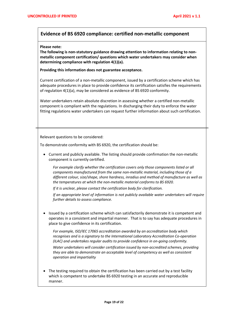# **Evidence of BS 6920 compliance: certified non-metallic component**

#### **Please note:**

**The following is non-statutory guidance drawing attention to information relating to nonmetallic component certification/ questions which water undertakers may consider when determining compliance with regulation 4(1)(a).**

**Providing this information does not guarantee acceptance.** 

Current certification of a non-metallic component, issued by a certification scheme which has adequate procedures in place to provide confidence its certification satisfies the requirements of regulation 4(1)(a), may be considered as evidence of BS 6920 conformity.

Water undertakers retain absolute discretion in assessing whether a certified non-metallic component is compliant with the regulations. In discharging their duty to enforce the water fitting regulations water undertakers can request further information about such certification.

Relevant questions to be considered:

To demonstrate conformity with BS 6920, the certification should be:

• Current and publicly available. The listing should provide confirmation the non-metallic component is currently certified.

*For example clarify whether the certification covers only those components listed or all components manufactured from the same non-metallic material, including those of a different colour, size/shape, shore hardness, inradius and method of manufacture as well as the temperatures at which the non-metallic material conforms to BS 6920.* 

*If it is unclear, please contact the certification body for clarification.*

*If an appropriate level of information is not publicly available water undertakers will require further details to assess compliance.*

• Issued by a certification scheme which can satisfactorily demonstrate it is competent and operates in a consistent and impartial manner. That is to say has adequate procedures in place to give confidence in its certification.

*For example, ISO/IEC 17065 accreditation awarded by an accreditation body which recognises and is a signatory to the International Laboratory Accreditation Co-operation (ILAC) and undertakes regular audits to provide confidence in on-going conformity.*

*Water undertakers will consider certification issued by non-accredited schemes, providing they are able to demonstrate an acceptable level of competency as well as consistent operation and impartiality*

• The testing required to obtain the certification has been carried out by a test facility which is competent to undertake BS 6920 testing in an accurate and reproducible manner.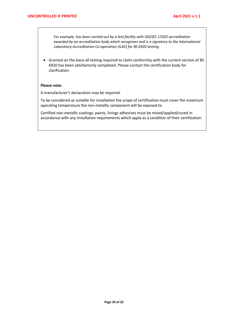*For example, has been carried out by a test facility with ISO/IEC 17025 accreditation awarded by an accreditation body which recognises and is a signatory to the International Laboratory Accreditation Co-operation (ILAC) for BS 6920 testing.* 

• Granted on the basis all testing required to claim conformity with the current version of BS 6920 has been satisfactorily completed. Please contact the certification body for clarification.

#### **Please note:**

A manufacturer's declaration may be required.

To be considered as suitable for installation the scope of certification must cover the maximum operating temperature the non-metallic component will be exposed to.

Certified non-metallic coatings, paints, linings adhesives must be mixed/applied/cured in accordance with any installation requirements which apply as a condition of their certification.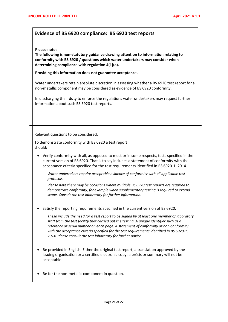# **Evidence of BS 6920 compliance: BS 6920 test reports**

#### **Please note:**

**The following is non-statutory guidance drawing attention to information relating to conformity with BS 6920 / questions which water undertakers may consider when determining compliance with regulation 4(1)(a).** 

**Providing this information does not guarantee acceptance.** 

Water undertakers retain absolute discretion in assessing whether a BS 6920 test report for a non-metallic component may be considered as evidence of BS 6920 conformity.

In discharging their duty to enforce the regulations water undertakers may request further information about such BS 6920 test reports.

Relevant questions to be considered:

To demonstrate conformity with BS 6920 a test report should:

• Verify conformity with all, as opposed to most or in some respects, tests specified in the current version of BS 6920. That is to say includes a statement of conformity with the acceptance criteria specified for the test requirements identified in BS 6920-1: 2014.

*Water undertakers require acceptable evidence of conformity with all applicable test protocols.* 

*Please note there may be occasions where multiple BS 6920 test reports are required to demonstrate conformity, for example when supplementary testing is required to extend scope. Consult the test laboratory for further information.* 

• Satisfy the reporting requirements specified in the current version of BS 6920.

*These include the need for a test report to be signed by at least one member of laboratory staff from the test facility that carried out the testing. A unique identifier such as a reference or serial number on each page. A statement of conformity or non-conformity with the acceptance criteria specified for the test requirements identified in BS 6920-1: 2014. Please consult the test laboratory for further advice.*

- Be provided in English. Either the original test report, a translation approved by the issuing organisation or a certified electronic copy: a précis or summary will not be acceptable.
- Be for the non-metallic component in question.